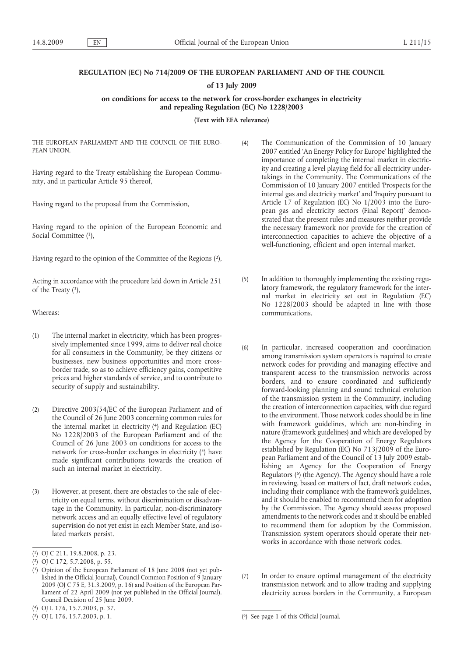# **REGULATION (EC) No 714/2009 OF THE EUROPEAN PARLIAMENT AND OF THE COUNCIL**

### **of 13 July 2009**

## **on conditions for access to the network for cross-border exchanges in electricity and repealing Regulation (EC) No 1228/2003**

**(Text with EEA relevance)**

THE EUROPEAN PARLIAMENT AND THE COUNCIL OF THE EURO-PEAN UNION,

Having regard to the Treaty establishing the European Community, and in particular Article 95 thereof,

Having regard to the proposal from the Commission,

Having regard to the opinion of the European Economic and Social Committee (1),

Having regard to the opinion of the Committee of the Regions (2),

Acting in accordance with the procedure laid down in Article 251 of the Treaty (3),

Whereas:

- (1) The internal market in electricity, which has been progressively implemented since 1999, aims to deliver real choice for all consumers in the Community, be they citizens or businesses, new business opportunities and more crossborder trade, so as to achieve efficiency gains, competitive prices and higher standards of service, and to contribute to security of supply and sustainability.
- (2) Directive 2003/54/EC of the European Parliament and of the Council of 26 June 2003 concerning common rules for the internal market in electricity (<sup>4</sup>) and Regulation (EC) No 1228/2003 of the European Parliament and of the Council of 26 June 2003 on conditions for access to the network for cross-border exchanges in electricity (5) have made significant contributions towards the creation of such an internal market in electricity.
- (3) However, at present, there are obstacles to the sale of electricity on equal terms, without discrimination or disadvantage in the Community. In particular, non-discriminatory network access and an equally effective level of regulatory supervision do not yet exist in each Member State, and isolated markets persist.
- (4) The Communication of the Commission of 10 January 2007 entitled 'An Energy Policy for Europe' highlighted the importance of completing the internal market in electricity and creating a level playing field for all electricity undertakings in the Community. The Communications of the Commission of 10 January 2007 entitled 'Prospects for the internal gas and electricity market' and 'Inquiry pursuant to Article 17 of Regulation (EC) No 1/2003 into the European gas and electricity sectors (Final Report)' demonstrated that the present rules and measures neither provide the necessary framework nor provide for the creation of interconnection capacities to achieve the objective of a well-functioning, efficient and open internal market.
- (5) In addition to thoroughly implementing the existing regulatory framework, the regulatory framework for the internal market in electricity set out in Regulation (EC) No 1228/2003 should be adapted in line with those communications.
- (6) In particular, increased cooperation and coordination among transmission system operators is required to create network codes for providing and managing effective and transparent access to the transmission networks across borders, and to ensure coordinated and sufficiently forward-looking planning and sound technical evolution of the transmission system in the Community, including the creation of interconnection capacities, with due regard to the environment. Those network codes should be in line with framework guidelines, which are non-binding in nature (framework guidelines) and which are developed by the Agency for the Cooperation of Energy Regulators established by Regulation (EC) No 713/2009 of the European Parliament and of the Council of 13 July 2009 establishing an Agency for the Cooperation of Energy Regulators (6) (the Agency). The Agency should have a role in reviewing, based on matters of fact, draft network codes, including their compliance with the framework guidelines, and it should be enabled to recommend them for adoption by the Commission. The Agency should assess proposed amendments to the network codes and it should be enabled to recommend them for adoption by the Commission. Transmission system operators should operate their networks in accordance with those network codes.
- (7) In order to ensure optimal management of the electricity transmission network and to allow trading and supplying electricity across borders in the Community, a European

<sup>(</sup> 1) [OJ C 211, 19.8.2008, p. 23.](http://eur-lex.europa.eu/LexUriServ/LexUriServ.do?uri=OJ:C:2008:211:0023:0023:EN:PDF)

<sup>(</sup> 2) [OJ C 172, 5.7.2008, p. 55.](http://eur-lex.europa.eu/LexUriServ/LexUriServ.do?uri=OJ:C:2008:172:0055:0055:EN:PDF)

<sup>(</sup> 3) Opinion of the European Parliament of 18 June 2008 (not yet published in the Official Journal), Council Common Position of 9 January 2009 [\(OJ C 75 E, 31.3.2009, p. 16\)](http://eur-lex.europa.eu/LexUriServ/LexUriServ.do?uri=OJ:C:2009:075E:0016:0016:EN:PDF) and Position of the European Parliament of 22 April 2009 (not yet published in the Official Journal). Council Decision of 25 June 2009.

<sup>(</sup> 4) [OJ L 176, 15.7.2003, p. 37.](http://eur-lex.europa.eu/LexUriServ/LexUriServ.do?uri=OJ:L:2003:176:0037:0037:EN:PDF)

<sup>(</sup> 5) [OJ L 176, 15.7.2003, p. 1.](http://eur-lex.europa.eu/LexUriServ/LexUriServ.do?uri=OJ:L:2003:176:0001:0001:EN:PDF)

<sup>(</sup> 6) See page 1 of this Official Journal.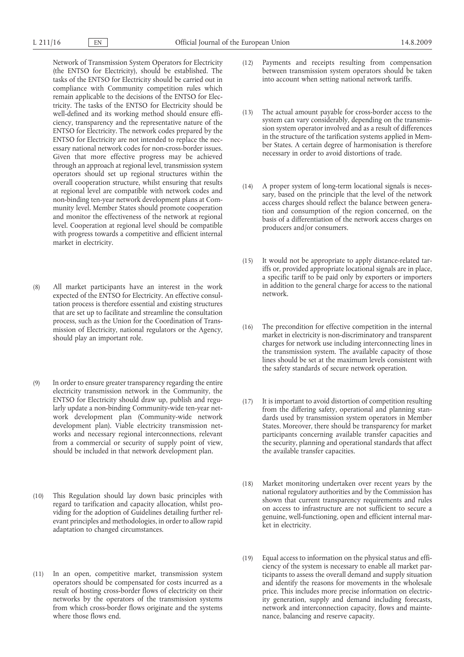Network of Transmission System Operators for Electricity (the ENTSO for Electricity), should be established. The tasks of the ENTSO for Electricity should be carried out in compliance with Community competition rules which remain applicable to the decisions of the ENTSO for Electricity. The tasks of the ENTSO for Electricity should be well-defined and its working method should ensure efficiency, transparency and the representative nature of the ENTSO for Electricity. The network codes prepared by the ENTSO for Electricity are not intended to replace the necessary national network codes for non-cross-border issues. Given that more effective progress may be achieved through an approach at regional level, transmission system operators should set up regional structures within the overall cooperation structure, whilst ensuring that results at regional level are compatible with network codes and non-binding ten-year network development plans at Community level. Member States should promote cooperation and monitor the effectiveness of the network at regional level. Cooperation at regional level should be compatible with progress towards a competitive and efficient internal market in electricity.

- (8) All market participants have an interest in the work expected of the ENTSO for Electricity. An effective consultation process is therefore essential and existing structures that are set up to facilitate and streamline the consultation process, such as the Union for the Coordination of Transmission of Electricity, national regulators or the Agency, should play an important role.
- (9) In order to ensure greater transparency regarding the entire electricity transmission network in the Community, the ENTSO for Electricity should draw up, publish and regularly update a non-binding Community-wide ten-year network development plan (Community-wide network development plan). Viable electricity transmission networks and necessary regional interconnections, relevant from a commercial or security of supply point of view, should be included in that network development plan.
- (10) This Regulation should lay down basic principles with regard to tarification and capacity allocation, whilst providing for the adoption of Guidelines detailing further relevant principles and methodologies, in order to allow rapid adaptation to changed circumstances.
- (11) In an open, competitive market, transmission system operators should be compensated for costs incurred as a result of hosting cross-border flows of electricity on their networks by the operators of the transmission systems from which cross-border flows originate and the systems where those flows end.
- (12) Payments and receipts resulting from compensation between transmission system operators should be taken into account when setting national network tariffs.
- (13) The actual amount payable for cross-border access to the system can vary considerably, depending on the transmission system operator involved and as a result of differences in the structure of the tarification systems applied in Member States. A certain degree of harmonisation is therefore necessary in order to avoid distortions of trade.
- (14) A proper system of long-term locational signals is necessary, based on the principle that the level of the network access charges should reflect the balance between generation and consumption of the region concerned, on the basis of a differentiation of the network access charges on producers and/or consumers.
- (15) It would not be appropriate to apply distance-related tariffs or, provided appropriate locational signals are in place, a specific tariff to be paid only by exporters or importers in addition to the general charge for access to the national network.
- (16) The precondition for effective competition in the internal market in electricity is non-discriminatory and transparent charges for network use including interconnecting lines in the transmission system. The available capacity of those lines should be set at the maximum levels consistent with the safety standards of secure network operation.
- (17) It is important to avoid distortion of competition resulting from the differing safety, operational and planning standards used by transmission system operators in Member States. Moreover, there should be transparency for market participants concerning available transfer capacities and the security, planning and operational standards that affect the available transfer capacities.
- (18) Market monitoring undertaken over recent years by the national regulatory authorities and by the Commission has shown that current transparency requirements and rules on access to infrastructure are not sufficient to secure a genuine, well-functioning, open and efficient internal market in electricity.
- (19) Equal access to information on the physical status and efficiency of the system is necessary to enable all market participants to assess the overall demand and supply situation and identify the reasons for movements in the wholesale price. This includes more precise information on electricity generation, supply and demand including forecasts, network and interconnection capacity, flows and maintenance, balancing and reserve capacity.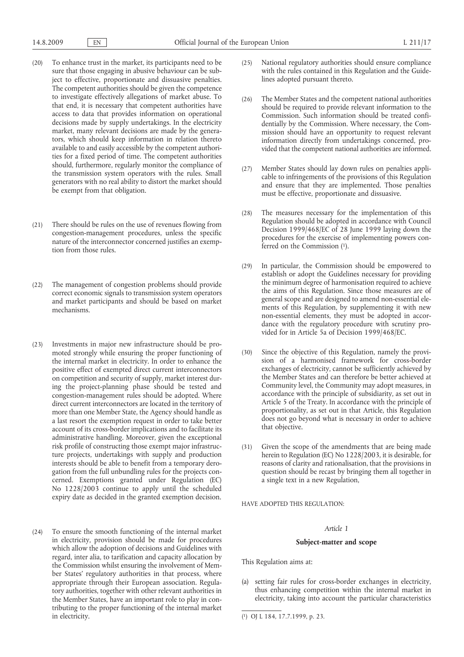- (20) To enhance trust in the market, its participants need to be sure that those engaging in abusive behaviour can be subject to effective, proportionate and dissuasive penalties. The competent authorities should be given the competence to investigate effectively allegations of market abuse. To that end, it is necessary that competent authorities have access to data that provides information on operational decisions made by supply undertakings. In the electricity market, many relevant decisions are made by the generators, which should keep information in relation thereto available to and easily accessible by the competent authorities for a fixed period of time. The competent authorities should, furthermore, regularly monitor the compliance of the transmission system operators with the rules. Small generators with no real ability to distort the market should be exempt from that obligation.
- (21) There should be rules on the use of revenues flowing from congestion-management procedures, unless the specific nature of the interconnector concerned justifies an exemption from those rules.
- (22) The management of congestion problems should provide correct economic signals to transmission system operators and market participants and should be based on market mechanisms.
- (23) Investments in major new infrastructure should be promoted strongly while ensuring the proper functioning of the internal market in electricity. In order to enhance the positive effect of exempted direct current interconnectors on competition and security of supply, market interest during the project-planning phase should be tested and congestion-management rules should be adopted. Where direct current interconnectors are located in the territory of more than one Member State, the Agency should handle as a last resort the exemption request in order to take better account of its cross-border implications and to facilitate its administrative handling. Moreover, given the exceptional risk profile of constructing those exempt major infrastructure projects, undertakings with supply and production interests should be able to benefit from a temporary derogation from the full unbundling rules for the projects concerned. Exemptions granted under Regulation (EC) No 1228/2003 continue to apply until the scheduled expiry date as decided in the granted exemption decision.
- (24) To ensure the smooth functioning of the internal market in electricity, provision should be made for procedures which allow the adoption of decisions and Guidelines with regard, inter alia, to tarification and capacity allocation by the Commission whilst ensuring the involvement of Member States' regulatory authorities in that process, where appropriate through their European association. Regulatory authorities, together with other relevant authorities in the Member States, have an important role to play in contributing to the proper functioning of the internal market in electricity.
- (25) National regulatory authorities should ensure compliance with the rules contained in this Regulation and the Guidelines adopted pursuant thereto.
- (26) The Member States and the competent national authorities should be required to provide relevant information to the Commission. Such information should be treated confidentially by the Commission. Where necessary, the Commission should have an opportunity to request relevant information directly from undertakings concerned, provided that the competent national authorities are informed.
- (27) Member States should lay down rules on penalties applicable to infringements of the provisions of this Regulation and ensure that they are implemented. Those penalties must be effective, proportionate and dissuasive.
- (28) The measures necessary for the implementation of this Regulation should be adopted in accordance with Council Decision 1999/468/EC of 28 June 1999 laying down the procedures for the exercise of implementing powers conferred on the Commission (1).
- (29) In particular, the Commission should be empowered to establish or adopt the Guidelines necessary for providing the minimum degree of harmonisation required to achieve the aims of this Regulation. Since those measures are of general scope and are designed to amend non-essential elements of this Regulation, by supplementing it with new non-essential elements, they must be adopted in accordance with the regulatory procedure with scrutiny provided for in Article 5a of Decision 1999/468/EC.
- (30) Since the objective of this Regulation, namely the provision of a harmonised framework for cross-border exchanges of electricity, cannot be sufficiently achieved by the Member States and can therefore be better achieved at Community level, the Community may adopt measures, in accordance with the principle of subsidiarity, as set out in Article 5 of the Treaty. In accordance with the principle of proportionality, as set out in that Article, this Regulation does not go beyond what is necessary in order to achieve that objective.
- (31) Given the scope of the amendments that are being made herein to Regulation (EC) No 1228/2003, it is desirable, for reasons of clarity and rationalisation, that the provisions in question should be recast by bringing them all together in a single text in a new Regulation,

HAVE ADOPTED THIS REGULATION:

## *Article 1*

## **Subject-matter and scope**

This Regulation aims at:

(a) setting fair rules for cross-border exchanges in electricity, thus enhancing competition within the internal market in electricity, taking into account the particular characteristics

<sup>(</sup> 1) [OJ L 184, 17.7.1999, p. 23.](http://eur-lex.europa.eu/LexUriServ/LexUriServ.do?uri=OJ:L:1999:184:0023:0023:EN:PDF)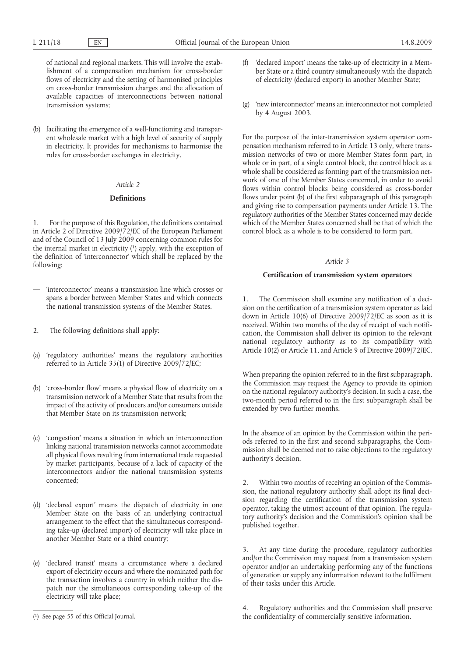of national and regional markets. This will involve the establishment of a compensation mechanism for cross-border flows of electricity and the setting of harmonised principles on cross-border transmission charges and the allocation of available capacities of interconnections between national transmission systems;

(b) facilitating the emergence of a well-functioning and transparent wholesale market with a high level of security of supply in electricity. It provides for mechanisms to harmonise the rules for cross-border exchanges in electricity.

# *Article 2*

## **Definitions**

For the purpose of this Regulation, the definitions contained in Article 2 of Directive 2009/72/EC of the European Parliament and of the Council of 13 July 2009 concerning common rules for the internal market in electricity (1) apply, with the exception of the definition of 'interconnector' which shall be replaced by the following:

- 'interconnector' means a transmission line which crosses or spans a border between Member States and which connects the national transmission systems of the Member States.
- 2. The following definitions shall apply:
- (a) 'regulatory authorities' means the regulatory authorities referred to in Article 35(1) of Directive 2009/72/EC;
- (b) 'cross-border flow' means a physical flow of electricity on a transmission network of a Member State that results from the impact of the activity of producers and/or consumers outside that Member State on its transmission network;
- (c) 'congestion' means a situation in which an interconnection linking national transmission networks cannot accommodate all physical flows resulting from international trade requested by market participants, because of a lack of capacity of the interconnectors and/or the national transmission systems concerned;
- (d) 'declared export' means the dispatch of electricity in one Member State on the basis of an underlying contractual arrangement to the effect that the simultaneous corresponding take-up (declared import) of electricity will take place in another Member State or a third country;
- (e) 'declared transit' means a circumstance where a declared export of electricity occurs and where the nominated path for the transaction involves a country in which neither the dispatch nor the simultaneous corresponding take-up of the electricity will take place;
- (f) 'declared import' means the take-up of electricity in a Member State or a third country simultaneously with the dispatch of electricity (declared export) in another Member State;
- (g) 'new interconnector' means an interconnector not completed by 4 August 2003.

For the purpose of the inter-transmission system operator compensation mechanism referred to in Article 13 only, where transmission networks of two or more Member States form part, in whole or in part, of a single control block, the control block as a whole shall be considered as forming part of the transmission network of one of the Member States concerned, in order to avoid flows within control blocks being considered as cross-border flows under point (b) of the first subparagraph of this paragraph and giving rise to compensation payments under Article 13. The regulatory authorities of the Member States concerned may decide which of the Member States concerned shall be that of which the control block as a whole is to be considered to form part.

## *Article 3*

#### **Certification of transmission system operators**

1. The Commission shall examine any notification of a decision on the certification of a transmission system operator as laid down in Article 10(6) of Directive 2009/72/EC as soon as it is received. Within two months of the day of receipt of such notification, the Commission shall deliver its opinion to the relevant national regulatory authority as to its compatibility with Article 10(2) or Article 11, and Article 9 of Directive 2009/72/EC.

When preparing the opinion referred to in the first subparagraph, the Commission may request the Agency to provide its opinion on the national regulatory authority's decision. In such a case, the two-month period referred to in the first subparagraph shall be extended by two further months.

In the absence of an opinion by the Commission within the periods referred to in the first and second subparagraphs, the Commission shall be deemed not to raise objections to the regulatory authority's decision.

2. Within two months of receiving an opinion of the Commission, the national regulatory authority shall adopt its final decision regarding the certification of the transmission system operator, taking the utmost account of that opinion. The regulatory authority's decision and the Commission's opinion shall be published together.

3. At any time during the procedure, regulatory authorities and/or the Commission may request from a transmission system operator and/or an undertaking performing any of the functions of generation or supply any information relevant to the fulfilment of their tasks under this Article.

Regulatory authorities and the Commission shall preserve the confidentiality of commercially sensitive information.

<sup>(</sup> 1) See page 55 of this Official Journal.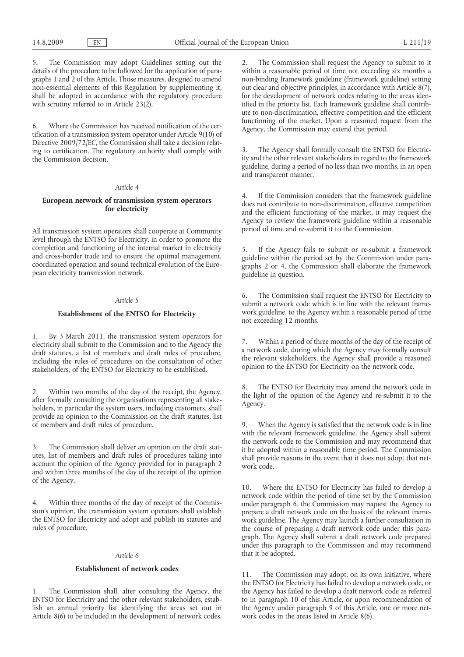5. The Commission may adopt Guidelines setting out the details of the procedure to be followed for the application of paragraphs 1 and 2 of this Article. Those measures, designed to amend non-essential elements of this Regulation by supplementing it, shall be adopted in accordance with the regulatory procedure with scrutiny referred to in Article 23(2).

6. Where the Commission has received notification of the certification of a transmission system operator under Article 9(10) of Directive 2009/72/EC, the Commission shall take a decision relating to certification. The regulatory authority shall comply with the Commission decision.

#### *Article 4*

# **European network of transmission system operators for electricity**

All transmission system operators shall cooperate at Community level through the ENTSO for Electricity, in order to promote the completion and functioning of the internal market in electricity and cross-border trade and to ensure the optimal management, coordinated operation and sound technical evolution of the European electricity transmission network.

## *Article 5*

# **Establishment of the ENTSO for Electricity**

1. By 3 March 2011, the transmission system operators for electricity shall submit to the Commission and to the Agency the draft statutes, a list of members and draft rules of procedure, including the rules of procedures on the consultation of other stakeholders, of the ENTSO for Electricity to be established.

2. Within two months of the day of the receipt, the Agency, after formally consulting the organisations representing all stakeholders, in particular the system users, including customers, shall provide an opinion to the Commission on the draft statutes, list of members and draft rules of procedure.

3. The Commission shall deliver an opinion on the draft statutes, list of members and draft rules of procedures taking into account the opinion of the Agency provided for in paragraph 2 and within three months of the day of the receipt of the opinion of the Agency.

4. Within three months of the day of receipt of the Commission's opinion, the transmission system operators shall establish the ENTSO for Electricity and adopt and publish its statutes and rules of procedure.

#### *Article 6*

#### **Establishment of network codes**

1. The Commission shall, after consulting the Agency, the ENTSO for Electricity and the other relevant stakeholders, establish an annual priority list identifying the areas set out in Article 8(6) to be included in the development of network codes. 2. The Commission shall request the Agency to submit to it within a reasonable period of time not exceeding six months a non-binding framework guideline (framework guideline) setting out clear and objective principles, in accordance with Article 8(7), for the development of network codes relating to the areas identified in the priority list. Each framework guideline shall contribute to non-discrimination, effective competition and the efficient functioning of the market. Upon a reasoned request from the Agency, the Commission may extend that period.

3. The Agency shall formally consult the ENTSO for Electricity and the other relevant stakeholders in regard to the framework guideline, during a period of no less than two months, in an open and transparent manner.

4. If the Commission considers that the framework guideline does not contribute to non-discrimination, effective competition and the efficient functioning of the market, it may request the Agency to review the framework guideline within a reasonable period of time and re-submit it to the Commission.

5. If the Agency fails to submit or re-submit a framework guideline within the period set by the Commission under paragraphs 2 or 4, the Commission shall elaborate the framework guideline in question.

6. The Commission shall request the ENTSO for Electricity to submit a network code which is in line with the relevant framework guideline, to the Agency within a reasonable period of time not exceeding 12 months.

7. Within a period of three months of the day of the receipt of a network code, during which the Agency may formally consult the relevant stakeholders, the Agency shall provide a reasoned opinion to the ENTSO for Electricity on the network code.

The ENTSO for Electricity may amend the network code in the light of the opinion of the Agency and re-submit it to the Agency.

When the Agency is satisfied that the network code is in line with the relevant framework guideline, the Agency shall submit the network code to the Commission and may recommend that it be adopted within a reasonable time period. The Commission shall provide reasons in the event that it does not adopt that network code.

10. Where the ENTSO for Electricity has failed to develop a network code within the period of time set by the Commission under paragraph 6, the Commission may request the Agency to prepare a draft network code on the basis of the relevant framework guideline. The Agency may launch a further consultation in the course of preparing a draft network code under this paragraph. The Agency shall submit a draft network code prepared under this paragraph to the Commission and may recommend that it be adopted.

11. The Commission may adopt, on its own initiative, where the ENTSO for Electricity has failed to develop a network code, or the Agency has failed to develop a draft network code as referred to in paragraph 10 of this Article, or upon recommendation of the Agency under paragraph 9 of this Article, one or more network codes in the areas listed in Article 8(6).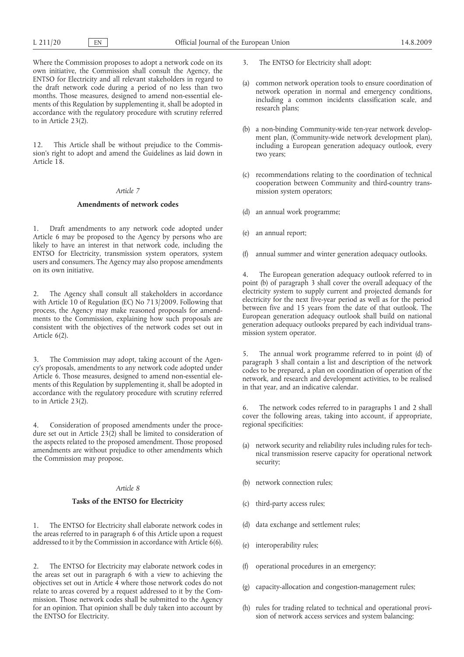Where the Commission proposes to adopt a network code on its own initiative, the Commission shall consult the Agency, the ENTSO for Electricity and all relevant stakeholders in regard to the draft network code during a period of no less than two months. Those measures, designed to amend non-essential elements of this Regulation by supplementing it, shall be adopted in accordance with the regulatory procedure with scrutiny referred to in Article 23(2).

12. This Article shall be without prejudice to the Commission's right to adopt and amend the Guidelines as laid down in Article 18.

# *Article 7*

# **Amendments of network codes**

1. Draft amendments to any network code adopted under Article 6 may be proposed to the Agency by persons who are likely to have an interest in that network code, including the ENTSO for Electricity, transmission system operators, system users and consumers. The Agency may also propose amendments on its own initiative.

2. The Agency shall consult all stakeholders in accordance with Article 10 of Regulation (EC) No 713/2009. Following that process, the Agency may make reasoned proposals for amendments to the Commission, explaining how such proposals are consistent with the objectives of the network codes set out in Article 6(2).

3. The Commission may adopt, taking account of the Agency's proposals, amendments to any network code adopted under Article 6. Those measures, designed to amend non-essential elements of this Regulation by supplementing it, shall be adopted in accordance with the regulatory procedure with scrutiny referred to in Article 23(2).

4. Consideration of proposed amendments under the procedure set out in Article 23(2) shall be limited to consideration of the aspects related to the proposed amendment. Those proposed amendments are without prejudice to other amendments which the Commission may propose.

#### *Article 8*

#### **Tasks of the ENTSO for Electricity**

1. The ENTSO for Electricity shall elaborate network codes in the areas referred to in paragraph 6 of this Article upon a request addressed to it by the Commission in accordance with Article 6(6).

2. The ENTSO for Electricity may elaborate network codes in the areas set out in paragraph 6 with a view to achieving the objectives set out in Article 4 where those network codes do not relate to areas covered by a request addressed to it by the Commission. Those network codes shall be submitted to the Agency for an opinion. That opinion shall be duly taken into account by the ENTSO for Electricity.

- 3. The ENTSO for Electricity shall adopt:
- (a) common network operation tools to ensure coordination of network operation in normal and emergency conditions, including a common incidents classification scale, and research plans;
- (b) a non-binding Community-wide ten-year network development plan, (Community-wide network development plan), including a European generation adequacy outlook, every two years;
- (c) recommendations relating to the coordination of technical cooperation between Community and third-country transmission system operators;
- (d) an annual work programme;
- (e) an annual report;
- (f) annual summer and winter generation adequacy outlooks.

The European generation adequacy outlook referred to in point (b) of paragraph 3 shall cover the overall adequacy of the electricity system to supply current and projected demands for electricity for the next five-year period as well as for the period between five and 15 years from the date of that outlook. The European generation adequacy outlook shall build on national generation adequacy outlooks prepared by each individual transmission system operator.

5. The annual work programme referred to in point (d) of paragraph 3 shall contain a list and description of the network codes to be prepared, a plan on coordination of operation of the network, and research and development activities, to be realised in that year, and an indicative calendar.

6. The network codes referred to in paragraphs 1 and 2 shall cover the following areas, taking into account, if appropriate, regional specificities:

- (a) network security and reliability rules including rules for technical transmission reserve capacity for operational network security;
- (b) network connection rules;
- (c) third-party access rules;
- (d) data exchange and settlement rules;
- (e) interoperability rules;
- (f) operational procedures in an emergency;
- (g) capacity-allocation and congestion-management rules;
- (h) rules for trading related to technical and operational provision of network access services and system balancing;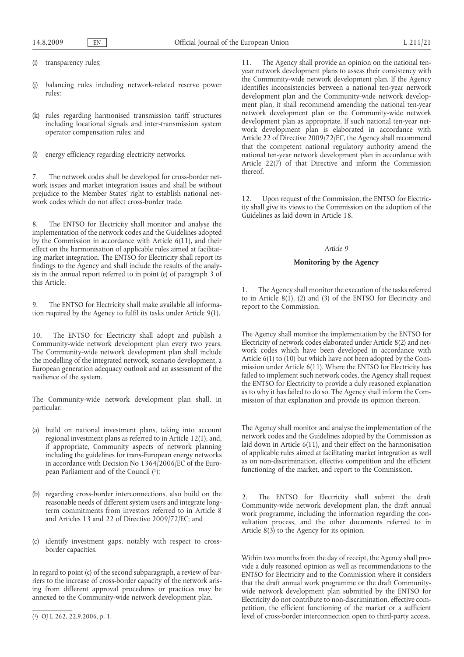- (i) transparency rules;
- balancing rules including network-related reserve power rules;
- (k) rules regarding harmonised transmission tariff structures including locational signals and inter-transmission system operator compensation rules; and
- (l) energy efficiency regarding electricity networks.

7. The network codes shall be developed for cross-border network issues and market integration issues and shall be without prejudice to the Member States' right to establish national network codes which do not affect cross-border trade.

8. The ENTSO for Electricity shall monitor and analyse the implementation of the network codes and the Guidelines adopted by the Commission in accordance with Article 6(11), and their effect on the harmonisation of applicable rules aimed at facilitating market integration. The ENTSO for Electricity shall report its findings to the Agency and shall include the results of the analysis in the annual report referred to in point (e) of paragraph 3 of this Article.

9. The ENTSO for Electricity shall make available all information required by the Agency to fulfil its tasks under Article 9(1).

10. The ENTSO for Electricity shall adopt and publish a Community-wide network development plan every two years. The Community-wide network development plan shall include the modelling of the integrated network, scenario development, a European generation adequacy outlook and an assessment of the resilience of the system.

The Community-wide network development plan shall, in particular:

- (a) build on national investment plans, taking into account regional investment plans as referred to in Article 12(1), and, if appropriate, Community aspects of network planning including the guidelines for trans-European energy networks in accordance with Decision No 1364/2006/EC of the European Parliament and of the Council (1);
- (b) regarding cross-border interconnections, also build on the reasonable needs of different system users and integrate longterm commitments from investors referred to in Article 8 and Articles 13 and 22 of Directive 2009/72/EC; and
- (c) identify investment gaps, notably with respect to crossborder capacities.

In regard to point (c) of the second subparagraph, a review of barriers to the increase of cross-border capacity of the network arising from different approval procedures or practices may be annexed to the Community-wide network development plan.

11. The Agency shall provide an opinion on the national tenyear network development plans to assess their consistency with the Community-wide network development plan. If the Agency identifies inconsistencies between a national ten-year network development plan and the Community-wide network development plan, it shall recommend amending the national ten-year network development plan or the Community-wide network development plan as appropriate. If such national ten-year network development plan is elaborated in accordance with Article 22 of Directive 2009/72/EC, the Agency shall recommend that the competent national regulatory authority amend the national ten-year network development plan in accordance with Article 22(7) of that Directive and inform the Commission thereof.

12. Upon request of the Commission, the ENTSO for Electricity shall give its views to the Commission on the adoption of the Guidelines as laid down in Article 18.

#### *Article 9*

## **Monitoring by the Agency**

1. The Agency shall monitor the execution of the tasks referred to in Article  $8(1)$ ,  $(2)$  and  $(3)$  of the ENTSO for Electricity and report to the Commission.

The Agency shall monitor the implementation by the ENTSO for Electricity of network codes elaborated under Article 8(2) and network codes which have been developed in accordance with Article 6(1) to (10) but which have not been adopted by the Commission under Article 6(11). Where the ENTSO for Electricity has failed to implement such network codes, the Agency shall request the ENTSO for Electricity to provide a duly reasoned explanation as to why it has failed to do so. The Agency shall inform the Commission of that explanation and provide its opinion thereon.

The Agency shall monitor and analyse the implementation of the network codes and the Guidelines adopted by the Commission as laid down in Article 6(11), and their effect on the harmonisation of applicable rules aimed at facilitating market integration as well as on non-discrimination, effective competition and the efficient functioning of the market, and report to the Commission.

2. The ENTSO for Electricity shall submit the draft Community-wide network development plan, the draft annual work programme, including the information regarding the consultation process, and the other documents referred to in Article 8(3) to the Agency for its opinion.

Within two months from the day of receipt, the Agency shall provide a duly reasoned opinion as well as recommendations to the ENTSO for Electricity and to the Commission where it considers that the draft annual work programme or the draft Communitywide network development plan submitted by the ENTSO for Electricity do not contribute to non-discrimination, effective competition, the efficient functioning of the market or a sufficient level of cross-border interconnection open to third-party access.

<sup>(</sup> 1) [OJ L 262, 22.9.2006, p. 1.](http://eur-lex.europa.eu/LexUriServ/LexUriServ.do?uri=OJ:L:2006:262:0001:0001:EN:PDF)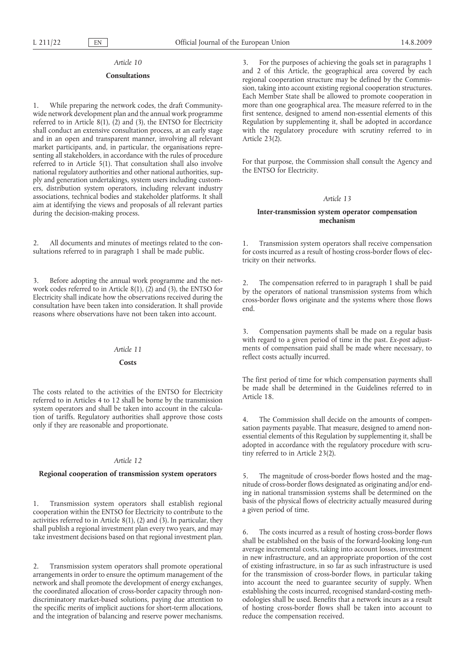#### *Article 10*

### **Consultations**

1. While preparing the network codes, the draft Communitywide network development plan and the annual work programme referred to in Article  $8(1)$ ,  $(2)$  and  $(3)$ , the ENTSO for Electricity shall conduct an extensive consultation process, at an early stage and in an open and transparent manner, involving all relevant market participants, and, in particular, the organisations representing all stakeholders, in accordance with the rules of procedure referred to in Article 5(1). That consultation shall also involve national regulatory authorities and other national authorities, supply and generation undertakings, system users including customers, distribution system operators, including relevant industry associations, technical bodies and stakeholder platforms. It shall aim at identifying the views and proposals of all relevant parties during the decision-making process.

2. All documents and minutes of meetings related to the consultations referred to in paragraph 1 shall be made public.

3. Before adopting the annual work programme and the network codes referred to in Article 8(1), (2) and (3), the ENTSO for Electricity shall indicate how the observations received during the consultation have been taken into consideration. It shall provide reasons where observations have not been taken into account.

#### *Article 11*

## **Costs**

The costs related to the activities of the ENTSO for Electricity referred to in Articles 4 to 12 shall be borne by the transmission system operators and shall be taken into account in the calculation of tariffs. Regulatory authorities shall approve those costs only if they are reasonable and proportionate.

# *Article 12*

## **Regional cooperation of transmission system operators**

1. Transmission system operators shall establish regional cooperation within the ENTSO for Electricity to contribute to the activities referred to in Article 8(1), (2) and (3). In particular, they shall publish a regional investment plan every two years, and may take investment decisions based on that regional investment plan.

2. Transmission system operators shall promote operational arrangements in order to ensure the optimum management of the network and shall promote the development of energy exchanges, the coordinated allocation of cross-border capacity through nondiscriminatory market-based solutions, paying due attention to the specific merits of implicit auctions for short-term allocations, and the integration of balancing and reserve power mechanisms.

3. For the purposes of achieving the goals set in paragraphs 1 and 2 of this Article, the geographical area covered by each regional cooperation structure may be defined by the Commission, taking into account existing regional cooperation structures. Each Member State shall be allowed to promote cooperation in more than one geographical area. The measure referred to in the first sentence, designed to amend non-essential elements of this Regulation by supplementing it, shall be adopted in accordance with the regulatory procedure with scrutiny referred to in Article 23(2).

For that purpose, the Commission shall consult the Agency and the ENTSO for Electricity.

#### *Article 13*

#### **Inter-transmission system operator compensation mechanism**

1. Transmission system operators shall receive compensation for costs incurred as a result of hosting cross-border flows of electricity on their networks.

2. The compensation referred to in paragraph 1 shall be paid by the operators of national transmission systems from which cross-border flows originate and the systems where those flows end.

3. Compensation payments shall be made on a regular basis with regard to a given period of time in the past. *Ex-post* adjustments of compensation paid shall be made where necessary, to reflect costs actually incurred.

The first period of time for which compensation payments shall be made shall be determined in the Guidelines referred to in Article 18.

4. The Commission shall decide on the amounts of compensation payments payable. That measure, designed to amend nonessential elements of this Regulation by supplementing it, shall be adopted in accordance with the regulatory procedure with scrutiny referred to in Article 23(2).

5. The magnitude of cross-border flows hosted and the magnitude of cross-border flows designated as originating and/or ending in national transmission systems shall be determined on the basis of the physical flows of electricity actually measured during a given period of time.

6. The costs incurred as a result of hosting cross-border flows shall be established on the basis of the forward-looking long-run average incremental costs, taking into account losses, investment in new infrastructure, and an appropriate proportion of the cost of existing infrastructure, in so far as such infrastructure is used for the transmission of cross-border flows, in particular taking into account the need to guarantee security of supply. When establishing the costs incurred, recognised standard-costing methodologies shall be used. Benefits that a network incurs as a result of hosting cross-border flows shall be taken into account to reduce the compensation received.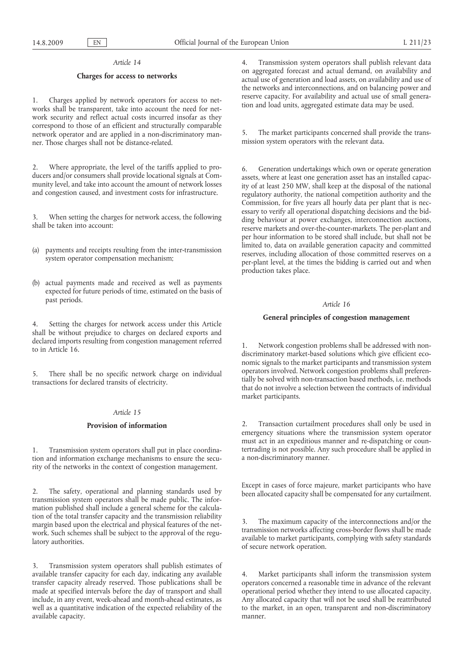## *Article 14*

# **Charges for access to networks**

1. Charges applied by network operators for access to networks shall be transparent, take into account the need for network security and reflect actual costs incurred insofar as they correspond to those of an efficient and structurally comparable network operator and are applied in a non-discriminatory manner. Those charges shall not be distance-related.

2. Where appropriate, the level of the tariffs applied to producers and/or consumers shall provide locational signals at Community level, and take into account the amount of network losses and congestion caused, and investment costs for infrastructure.

3. When setting the charges for network access, the following shall be taken into account:

- (a) payments and receipts resulting from the inter-transmission system operator compensation mechanism;
- (b) actual payments made and received as well as payments expected for future periods of time, estimated on the basis of past periods.

4. Setting the charges for network access under this Article shall be without prejudice to charges on declared exports and declared imports resulting from congestion management referred to in Article 16.

5. There shall be no specific network charge on individual transactions for declared transits of electricity.

## *Article 15*

## **Provision of information**

1. Transmission system operators shall put in place coordination and information exchange mechanisms to ensure the security of the networks in the context of congestion management.

2. The safety, operational and planning standards used by transmission system operators shall be made public. The information published shall include a general scheme for the calculation of the total transfer capacity and the transmission reliability margin based upon the electrical and physical features of the network. Such schemes shall be subject to the approval of the regulatory authorities.

3. Transmission system operators shall publish estimates of available transfer capacity for each day, indicating any available transfer capacity already reserved. Those publications shall be made at specified intervals before the day of transport and shall include, in any event, week-ahead and month-ahead estimates, as well as a quantitative indication of the expected reliability of the available capacity.

4. Transmission system operators shall publish relevant data on aggregated forecast and actual demand, on availability and actual use of generation and load assets, on availability and use of the networks and interconnections, and on balancing power and reserve capacity. For availability and actual use of small generation and load units, aggregated estimate data may be used.

5. The market participants concerned shall provide the transmission system operators with the relevant data.

6. Generation undertakings which own or operate generation assets, where at least one generation asset has an installed capacity of at least 250 MW, shall keep at the disposal of the national regulatory authority, the national competition authority and the Commission, for five years all hourly data per plant that is necessary to verify all operational dispatching decisions and the bidding behaviour at power exchanges, interconnection auctions, reserve markets and over-the-counter-markets. The per-plant and per hour information to be stored shall include, but shall not be limited to, data on available generation capacity and committed reserves, including allocation of those committed reserves on a per-plant level, at the times the bidding is carried out and when production takes place.

## *Article 16*

## **General principles of congestion management**

Network congestion problems shall be addressed with nondiscriminatory market-based solutions which give efficient economic signals to the market participants and transmission system operators involved. Network congestion problems shall preferentially be solved with non-transaction based methods, i.e. methods that do not involve a selection between the contracts of individual market participants.

2. Transaction curtailment procedures shall only be used in emergency situations where the transmission system operator must act in an expeditious manner and re-dispatching or countertrading is not possible. Any such procedure shall be applied in a non-discriminatory manner.

Except in cases of force majeure, market participants who have been allocated capacity shall be compensated for any curtailment.

3. The maximum capacity of the interconnections and/or the transmission networks affecting cross-border flows shall be made available to market participants, complying with safety standards of secure network operation.

4. Market participants shall inform the transmission system operators concerned a reasonable time in advance of the relevant operational period whether they intend to use allocated capacity. Any allocated capacity that will not be used shall be reattributed to the market, in an open, transparent and non-discriminatory manner.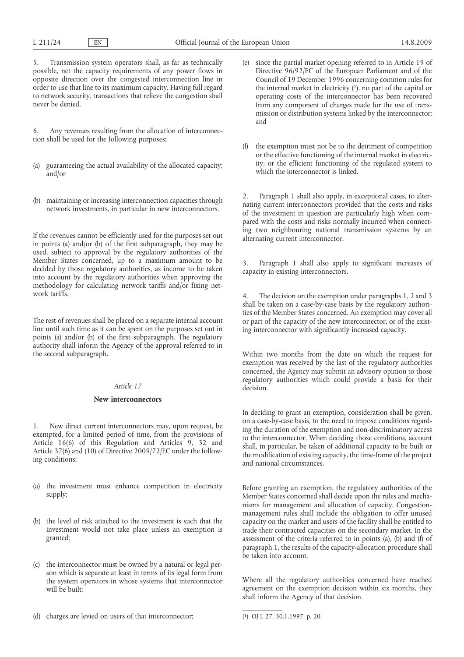5. Transmission system operators shall, as far as technically possible, net the capacity requirements of any power flows in opposite direction over the congested interconnection line in order to use that line to its maximum capacity. Having full regard to network security, transactions that relieve the congestion shall never be denied.

6. Any revenues resulting from the allocation of interconnection shall be used for the following purposes:

- (a) guaranteeing the actual availability of the allocated capacity; and/or
- (b) maintaining or increasing interconnection capacities through network investments, in particular in new interconnectors.

If the revenues cannot be efficiently used for the purposes set out in points (a) and/or (b) of the first subparagraph, they may be used, subject to approval by the regulatory authorities of the Member States concerned, up to a maximum amount to be decided by those regulatory authorities, as income to be taken into account by the regulatory authorities when approving the methodology for calculating network tariffs and/or fixing network tariffs.

The rest of revenues shall be placed on a separate internal account line until such time as it can be spent on the purposes set out in points (a) and/or (b) of the first subparagraph. The regulatory authority shall inform the Agency of the approval referred to in the second subparagraph.

#### *Article 17*

#### **New interconnectors**

1. New direct current interconnectors may, upon request, be exempted, for a limited period of time, from the provisions of Article 16(6) of this Regulation and Articles 9, 32 and Article 37(6) and (10) of Directive 2009/72/EC under the following conditions:

- (a) the investment must enhance competition in electricity supply;
- (b) the level of risk attached to the investment is such that the investment would not take place unless an exemption is granted;
- (c) the interconnector must be owned by a natural or legal person which is separate at least in terms of its legal form from the system operators in whose systems that interconnector will be built;
- (e) since the partial market opening referred to in Article 19 of Directive 96/92/EC of the European Parliament and of the Council of 19 December 1996 concerning common rules for the internal market in electricity  $(1)$ , no part of the capital or operating costs of the interconnector has been recovered from any component of charges made for the use of transmission or distribution systems linked by the interconnector; and
- (f) the exemption must not be to the detriment of competition or the effective functioning of the internal market in electricity, or the efficient functioning of the regulated system to which the interconnector is linked.

2. Paragraph 1 shall also apply, in exceptional cases, to alternating current interconnectors provided that the costs and risks of the investment in question are particularly high when compared with the costs and risks normally incurred when connecting two neighbouring national transmission systems by an alternating current interconnector.

3. Paragraph 1 shall also apply to significant increases of capacity in existing interconnectors.

4. The decision on the exemption under paragraphs 1, 2 and 3 shall be taken on a case-by-case basis by the regulatory authorities of the Member States concerned. An exemption may cover all or part of the capacity of the new interconnector, or of the existing interconnector with significantly increased capacity.

Within two months from the date on which the request for exemption was received by the last of the regulatory authorities concerned, the Agency may submit an advisory opinion to those regulatory authorities which could provide a basis for their decision.

In deciding to grant an exemption, consideration shall be given, on a case-by-case basis, to the need to impose conditions regarding the duration of the exemption and non-discriminatory access to the interconnector. When deciding those conditions, account shall, in particular, be taken of additional capacity to be built or the modification of existing capacity, the time-frame of the project and national circumstances.

Before granting an exemption, the regulatory authorities of the Member States concerned shall decide upon the rules and mechanisms for management and allocation of capacity. Congestionmanagement rules shall include the obligation to offer unused capacity on the market and users of the facility shall be entitled to trade their contracted capacities on the secondary market. In the assessment of the criteria referred to in points (a), (b) and (f) of paragraph 1, the results of the capacity-allocation procedure shall be taken into account.

Where all the regulatory authorities concerned have reached agreement on the exemption decision within six months, they shall inform the Agency of that decision.

<sup>(</sup>d) charges are levied on users of that interconnector;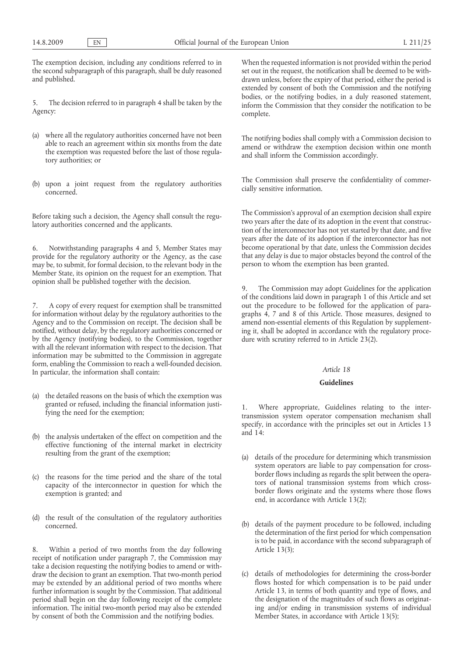14.8.2009 EN

The exemption decision, including any conditions referred to in the second subparagraph of this paragraph, shall be duly reasoned and published.

5. The decision referred to in paragraph 4 shall be taken by the Agency:

- (a) where all the regulatory authorities concerned have not been able to reach an agreement within six months from the date the exemption was requested before the last of those regulatory authorities; or
- (b) upon a joint request from the regulatory authorities concerned.

Before taking such a decision, the Agency shall consult the regulatory authorities concerned and the applicants.

6. Notwithstanding paragraphs 4 and 5, Member States may provide for the regulatory authority or the Agency, as the case may be, to submit, for formal decision, to the relevant body in the Member State, its opinion on the request for an exemption. That opinion shall be published together with the decision.

7. A copy of every request for exemption shall be transmitted for information without delay by the regulatory authorities to the Agency and to the Commission on receipt. The decision shall be notified, without delay, by the regulatory authorities concerned or by the Agency (notifying bodies), to the Commission, together with all the relevant information with respect to the decision. That information may be submitted to the Commission in aggregate form, enabling the Commission to reach a well-founded decision. In particular, the information shall contain:

- (a) the detailed reasons on the basis of which the exemption was granted or refused, including the financial information justifying the need for the exemption;
- (b) the analysis undertaken of the effect on competition and the effective functioning of the internal market in electricity resulting from the grant of the exemption;
- (c) the reasons for the time period and the share of the total capacity of the interconnector in question for which the exemption is granted; and
- (d) the result of the consultation of the regulatory authorities concerned.

8. Within a period of two months from the day following receipt of notification under paragraph 7, the Commission may take a decision requesting the notifying bodies to amend or withdraw the decision to grant an exemption. That two-month period may be extended by an additional period of two months where further information is sought by the Commission. That additional period shall begin on the day following receipt of the complete information. The initial two-month period may also be extended by consent of both the Commission and the notifying bodies.

When the requested information is not provided within the period set out in the request, the notification shall be deemed to be withdrawn unless, before the expiry of that period, either the period is extended by consent of both the Commission and the notifying bodies, or the notifying bodies, in a duly reasoned statement, inform the Commission that they consider the notification to be complete.

The notifying bodies shall comply with a Commission decision to amend or withdraw the exemption decision within one month and shall inform the Commission accordingly.

The Commission shall preserve the confidentiality of commercially sensitive information.

The Commission's approval of an exemption decision shall expire two years after the date of its adoption in the event that construction of the interconnector has not yet started by that date, and five years after the date of its adoption if the interconnector has not become operational by that date, unless the Commission decides that any delay is due to major obstacles beyond the control of the person to whom the exemption has been granted.

The Commission may adopt Guidelines for the application of the conditions laid down in paragraph 1 of this Article and set out the procedure to be followed for the application of paragraphs 4, 7 and 8 of this Article. Those measures, designed to amend non-essential elements of this Regulation by supplementing it, shall be adopted in accordance with the regulatory procedure with scrutiny referred to in Article 23(2).

#### *Article 18*

#### **Guidelines**

1. Where appropriate, Guidelines relating to the intertransmission system operator compensation mechanism shall specify, in accordance with the principles set out in Articles 13 and 14:

- (a) details of the procedure for determining which transmission system operators are liable to pay compensation for crossborder flows including as regards the split between the operators of national transmission systems from which crossborder flows originate and the systems where those flows end, in accordance with Article 13(2);
- (b) details of the payment procedure to be followed, including the determination of the first period for which compensation is to be paid, in accordance with the second subparagraph of Article  $13(3)$ ;
- (c) details of methodologies for determining the cross-border flows hosted for which compensation is to be paid under Article 13, in terms of both quantity and type of flows, and the designation of the magnitudes of such flows as originating and/or ending in transmission systems of individual Member States, in accordance with Article 13(5);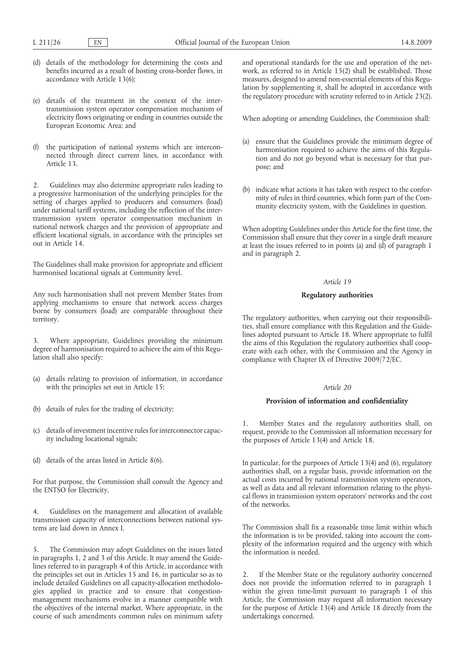$L$  211/26 EN

- (d) details of the methodology for determining the costs and benefits incurred as a result of hosting cross-border flows, in accordance with Article 13(6);
- (e) details of the treatment in the context of the intertransmission system operator compensation mechanism of electricity flows originating or ending in countries outside the European Economic Area; and
- (f) the participation of national systems which are interconnected through direct current lines, in accordance with Article 13.

2. Guidelines may also determine appropriate rules leading to a progressive harmonisation of the underlying principles for the setting of charges applied to producers and consumers (load) under national tariff systems, including the reflection of the intertransmission system operator compensation mechanism in national network charges and the provision of appropriate and efficient locational signals, in accordance with the principles set out in Article 14.

The Guidelines shall make provision for appropriate and efficient harmonised locational signals at Community level.

Any such harmonisation shall not prevent Member States from applying mechanisms to ensure that network access charges borne by consumers (load) are comparable throughout their territory.

Where appropriate, Guidelines providing the minimum degree of harmonisation required to achieve the aim of this Regulation shall also specify:

- (a) details relating to provision of information, in accordance with the principles set out in Article 15;
- (b) details of rules for the trading of electricity;
- (c) details of investment incentive rules for interconnector capacity including locational signals;
- (d) details of the areas listed in Article 8(6).

For that purpose, the Commission shall consult the Agency and the ENTSO for Electricity.

4. Guidelines on the management and allocation of available transmission capacity of interconnections between national systems are laid down in Annex I.

5. The Commission may adopt Guidelines on the issues listed in paragraphs 1, 2 and 3 of this Article. It may amend the Guidelines referred to in paragraph 4 of this Article, in accordance with the principles set out in Articles 15 and 16, in particular so as to include detailed Guidelines on all capacity-allocation methodologies applied in practice and to ensure that congestionmanagement mechanisms evolve in a manner compatible with the objectives of the internal market. Where appropriate, in the course of such amendments common rules on minimum safety

and operational standards for the use and operation of the network, as referred to in Article 15(2) shall be established. Those measures, designed to amend non-essential elements of this Regulation by supplementing it, shall be adopted in accordance with the regulatory procedure with scrutiny referred to in Article 23(2).

When adopting or amending Guidelines, the Commission shall:

- (a) ensure that the Guidelines provide the minimum degree of harmonisation required to achieve the aims of this Regulation and do not go beyond what is necessary for that purpose; and
- (b) indicate what actions it has taken with respect to the conformity of rules in third countries, which form part of the Community electricity system, with the Guidelines in question.

When adopting Guidelines under this Article for the first time, the Commission shall ensure that they cover in a single draft measure at least the issues referred to in points (a) and (d) of paragraph 1 and in paragraph 2.

#### *Article 19*

#### **Regulatory authorities**

The regulatory authorities, when carrying out their responsibilities, shall ensure compliance with this Regulation and the Guidelines adopted pursuant to Article 18. Where appropriate to fulfil the aims of this Regulation the regulatory authorities shall cooperate with each other, with the Commission and the Agency in compliance with Chapter IX of Directive 2009/72/EC.

### *Article 20*

### **Provision of information and confidentiality**

1. Member States and the regulatory authorities shall, on request, provide to the Commission all information necessary for the purposes of Article 13(4) and Article 18.

In particular, for the purposes of Article 13(4) and (6), regulatory authorities shall, on a regular basis, provide information on the actual costs incurred by national transmission system operators, as well as data and all relevant information relating to the physical flows in transmission system operators' networks and the cost of the networks.

The Commission shall fix a reasonable time limit within which the information is to be provided, taking into account the complexity of the information required and the urgency with which the information is needed.

2. If the Member State or the regulatory authority concerned does not provide the information referred to in paragraph 1 within the given time-limit pursuant to paragraph 1 of this Article, the Commission may request all information necessary for the purpose of Article 13(4) and Article 18 directly from the undertakings concerned.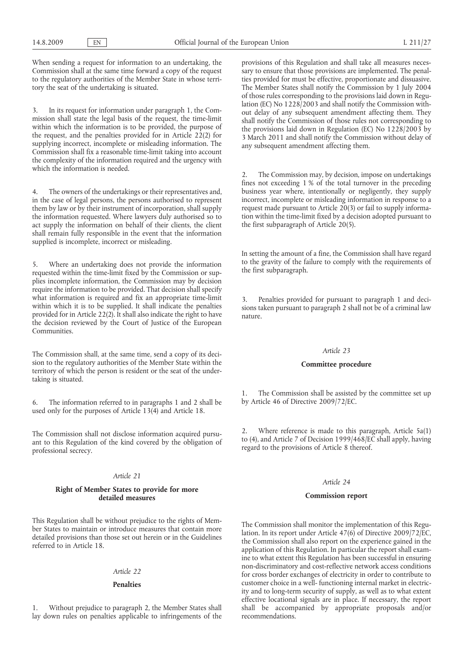When sending a request for information to an undertaking, the Commission shall at the same time forward a copy of the request to the regulatory authorities of the Member State in whose territory the seat of the undertaking is situated.

3. In its request for information under paragraph 1, the Commission shall state the legal basis of the request, the time-limit within which the information is to be provided, the purpose of the request, and the penalties provided for in Article  $22(2)$  for supplying incorrect, incomplete or misleading information. The Commission shall fix a reasonable time-limit taking into account the complexity of the information required and the urgency with which the information is needed.

4. The owners of the undertakings or their representatives and, in the case of legal persons, the persons authorised to represent them by law or by their instrument of incorporation, shall supply the information requested. Where lawyers duly authorised so to act supply the information on behalf of their clients, the client shall remain fully responsible in the event that the information supplied is incomplete, incorrect or misleading.

5. Where an undertaking does not provide the information requested within the time-limit fixed by the Commission or supplies incomplete information, the Commission may by decision require the information to be provided. That decision shall specify what information is required and fix an appropriate time-limit within which it is to be supplied. It shall indicate the penalties provided for in Article 22(2). It shall also indicate the right to have the decision reviewed by the Court of Justice of the European Communities.

The Commission shall, at the same time, send a copy of its decision to the regulatory authorities of the Member State within the territory of which the person is resident or the seat of the undertaking is situated.

6. The information referred to in paragraphs 1 and 2 shall be used only for the purposes of Article 13(4) and Article 18.

The Commission shall not disclose information acquired pursuant to this Regulation of the kind covered by the obligation of professional secrecy.

#### *Article 21*

## **Right of Member States to provide for more detailed measures**

This Regulation shall be without prejudice to the rights of Member States to maintain or introduce measures that contain more detailed provisions than those set out herein or in the Guidelines referred to in Article 18.

#### *Article 22*

#### **Penalties**

1. Without prejudice to paragraph 2, the Member States shall lay down rules on penalties applicable to infringements of the provisions of this Regulation and shall take all measures necessary to ensure that those provisions are implemented. The penalties provided for must be effective, proportionate and dissuasive. The Member States shall notify the Commission by 1 July 2004 of those rules corresponding to the provisions laid down in Regulation (EC) No 1228/2003 and shall notify the Commission without delay of any subsequent amendment affecting them. They shall notify the Commission of those rules not corresponding to the provisions laid down in Regulation (EC) No 1228/2003 by 3 March 2011 and shall notify the Commission without delay of any subsequent amendment affecting them.

The Commission may, by decision, impose on undertakings fines not exceeding 1 % of the total turnover in the preceding business year where, intentionally or negligently, they supply incorrect, incomplete or misleading information in response to a request made pursuant to Article 20(3) or fail to supply information within the time-limit fixed by a decision adopted pursuant to the first subparagraph of Article 20(5).

In setting the amount of a fine, the Commission shall have regard to the gravity of the failure to comply with the requirements of the first subparagraph.

3. Penalties provided for pursuant to paragraph 1 and decisions taken pursuant to paragraph 2 shall not be of a criminal law nature.

#### *Article 23*

#### **Committee procedure**

The Commission shall be assisted by the committee set up by Article 46 of Directive 2009/72/EC.

Where reference is made to this paragraph, Article  $5a(1)$ to (4), and Article 7 of Decision 1999/468/EC shall apply, having regard to the provisions of Article 8 thereof.

#### *Article 24*

#### **Commission report**

The Commission shall monitor the implementation of this Regulation. In its report under Article 47(6) of Directive 2009/72/EC, the Commission shall also report on the experience gained in the application of this Regulation. In particular the report shall examine to what extent this Regulation has been successful in ensuring non-discriminatory and cost-reflective network access conditions for cross border exchanges of electricity in order to contribute to customer choice in a well- functioning internal market in electricity and to long-term security of supply, as well as to what extent effective locational signals are in place. If necessary, the report shall be accompanied by appropriate proposals and/or recommendations.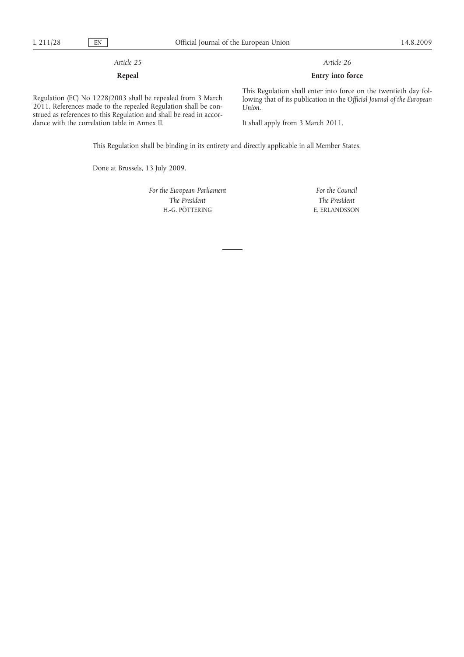# *Article 25*

# **Repeal**

Regulation (EC) No 1228/2003 shall be repealed from 3 March 2011. References made to the repealed Regulation shall be construed as references to this Regulation and shall be read in accordance with the correlation table in Annex II.

*Article 26*

# **Entry into force**

This Regulation shall enter into force on the twentieth day following that of its publication in the *Official Journal of the European Union*.

It shall apply from 3 March 2011.

This Regulation shall be binding in its entirety and directly applicable in all Member States.

Done at Brussels, 13 July 2009.

*For the European Parliament The President* H.-G. PÖTTERING

*For the Council The President* E. ERLANDSSON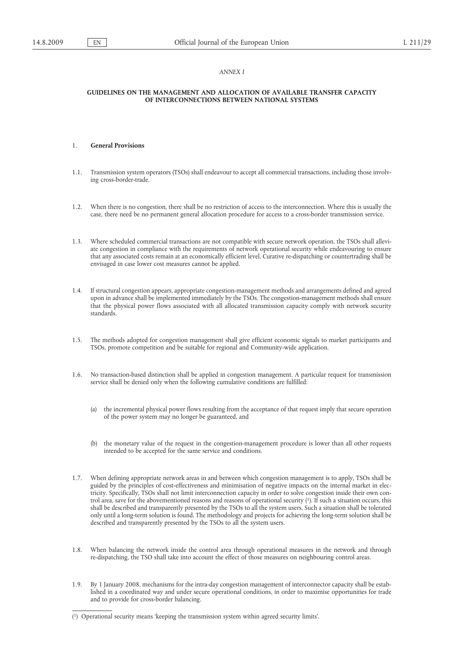### *ANNEX I*

#### **GUIDELINES ON THE MANAGEMENT AND ALLOCATION OF AVAILABLE TRANSFER CAPACITY OF INTERCONNECTIONS BETWEEN NATIONAL SYSTEMS**

#### 1. **General Provisions**

- 1.1. Transmission system operators (TSOs) shall endeavour to accept all commercial transactions, including those involving cross-border-trade.
- 1.2. When there is no congestion, there shall be no restriction of access to the interconnection. Where this is usually the case, there need be no permanent general allocation procedure for access to a cross-border transmission service.
- 1.3. Where scheduled commercial transactions are not compatible with secure network operation, the TSOs shall alleviate congestion in compliance with the requirements of network operational security while endeavouring to ensure that any associated costs remain at an economically efficient level. Curative re-dispatching or countertrading shall be envisaged in case lower cost measures cannot be applied.
- 1.4. If structural congestion appears, appropriate congestion-management methods and arrangements defined and agreed upon in advance shall be implemented immediately by the TSOs. The congestion-management methods shall ensure that the physical power flows associated with all allocated transmission capacity comply with network security standards.
- 1.5. The methods adopted for congestion management shall give efficient economic signals to market participants and TSOs, promote competition and be suitable for regional and Community-wide application.
- 1.6. No transaction-based distinction shall be applied in congestion management. A particular request for transmission service shall be denied only when the following cumulative conditions are fulfilled:
	- (a) the incremental physical power flows resulting from the acceptance of that request imply that secure operation of the power system may no longer be guaranteed, and
	- (b) the monetary value of the request in the congestion-management procedure is lower than all other requests intended to be accepted for the same service and conditions.
- 1.7. When defining appropriate network areas in and between which congestion management is to apply, TSOs shall be guided by the principles of cost-effectiveness and minimisation of negative impacts on the internal market in electricity. Specifically, TSOs shall not limit interconnection capacity in order to solve congestion inside their own control area, save for the abovementioned reasons and reasons of operational security (1). If such a situation occurs, this shall be described and transparently presented by the TSOs to all the system users. Such a situation shall be tolerated only until a long-term solution is found. The methodology and projects for achieving the long-term solution shall be described and transparently presented by the TSOs to all the system users.
- 1.8. When balancing the network inside the control area through operational measures in the network and through re-dispatching, the TSO shall take into account the effect of those measures on neighbouring control areas.
- 1.9. By 1 January 2008, mechanisms for the intra-day congestion management of interconnector capacity shall be established in a coordinated way and under secure operational conditions, in order to maximise opportunities for trade and to provide for cross-border balancing.

<sup>(</sup> 1) Operational security means 'keeping the transmission system within agreed security limits'.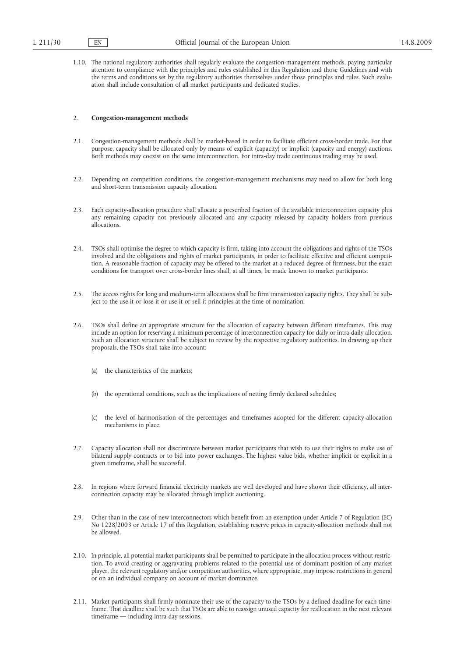1.10. The national regulatory authorities shall regularly evaluate the congestion-management methods, paying particular attention to compliance with the principles and rules established in this Regulation and those Guidelines and with the terms and conditions set by the regulatory authorities themselves under those principles and rules. Such evaluation shall include consultation of all market participants and dedicated studies.

#### 2. **Congestion-management methods**

- 2.1. Congestion-management methods shall be market-based in order to facilitate efficient cross-border trade. For that purpose, capacity shall be allocated only by means of explicit (capacity) or implicit (capacity and energy) auctions. Both methods may coexist on the same interconnection. For intra-day trade continuous trading may be used.
- 2.2. Depending on competition conditions, the congestion-management mechanisms may need to allow for both long and short-term transmission capacity allocation.
- 2.3. Each capacity-allocation procedure shall allocate a prescribed fraction of the available interconnection capacity plus any remaining capacity not previously allocated and any capacity released by capacity holders from previous allocations.
- 2.4. TSOs shall optimise the degree to which capacity is firm, taking into account the obligations and rights of the TSOs involved and the obligations and rights of market participants, in order to facilitate effective and efficient competition. A reasonable fraction of capacity may be offered to the market at a reduced degree of firmness, but the exact conditions for transport over cross-border lines shall, at all times, be made known to market participants.
- 2.5. The access rights for long and medium-term allocations shall be firm transmission capacity rights. They shall be subject to the use-it-or-lose-it or use-it-or-sell-it principles at the time of nomination.
- 2.6. TSOs shall define an appropriate structure for the allocation of capacity between different timeframes. This may include an option for reserving a minimum percentage of interconnection capacity for daily or intra-daily allocation. Such an allocation structure shall be subject to review by the respective regulatory authorities. In drawing up their proposals, the TSOs shall take into account:
	- (a) the characteristics of the markets;
	- (b) the operational conditions, such as the implications of netting firmly declared schedules;
	- (c) the level of harmonisation of the percentages and timeframes adopted for the different capacity-allocation mechanisms in place.
- 2.7. Capacity allocation shall not discriminate between market participants that wish to use their rights to make use of bilateral supply contracts or to bid into power exchanges. The highest value bids, whether implicit or explicit in a given timeframe, shall be successful.
- 2.8. In regions where forward financial electricity markets are well developed and have shown their efficiency, all interconnection capacity may be allocated through implicit auctioning.
- 2.9. Other than in the case of new interconnectors which benefit from an exemption under Article 7 of Regulation (EC) No 1228/2003 or Article 17 of this Regulation, establishing reserve prices in capacity-allocation methods shall not be allowed.
- 2.10. In principle, all potential market participants shall be permitted to participate in the allocation process without restriction. To avoid creating or aggravating problems related to the potential use of dominant position of any market player, the relevant regulatory and/or competition authorities, where appropriate, may impose restrictions in general or on an individual company on account of market dominance.
- 2.11. Market participants shall firmly nominate their use of the capacity to the TSOs by a defined deadline for each timeframe. That deadline shall be such that TSOs are able to reassign unused capacity for reallocation in the next relevant timeframe — including intra-day sessions.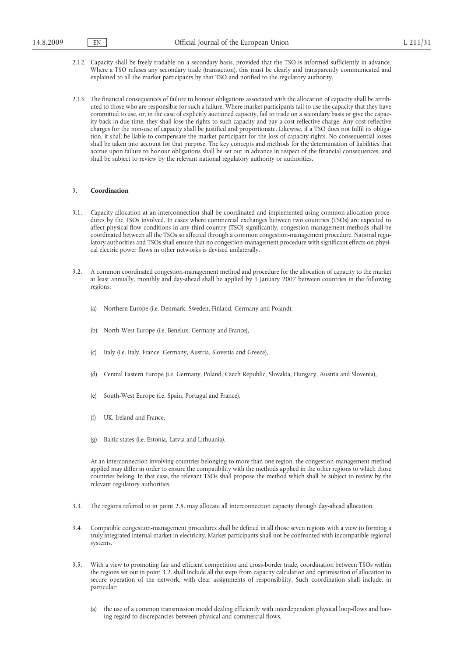- 2.12. Capacity shall be freely tradable on a secondary basis, provided that the TSO is informed sufficiently in advance. Where a TSO refuses any secondary trade (transaction), this must be clearly and transparently communicated and explained to all the market participants by that TSO and notified to the regulatory authority.
- 2.13. The financial consequences of failure to honour obligations associated with the allocation of capacity shall be attributed to those who are responsible for such a failure. Where market participants fail to use the capacity that they have committed to use, or, in the case of explicitly auctioned capacity, fail to trade on a secondary basis or give the capacity back in due time, they shall lose the rights to such capacity and pay a cost-reflective charge. Any cost-reflective charges for the non-use of capacity shall be justified and proportionate. Likewise, if a TSO does not fulfil its obligation, it shall be liable to compensate the market participant for the loss of capacity rights. No consequential losses shall be taken into account for that purpose. The key concepts and methods for the determination of liabilities that accrue upon failure to honour obligations shall be set out in advance in respect of the financial consequences, and shall be subject to review by the relevant national regulatory authority or authorities.

### 3. **Coordination**

- 3.1. Capacity allocation at an interconnection shall be coordinated and implemented using common allocation procedures by the TSOs involved. In cases where commercial exchanges between two countries (TSOs) are expected to affect physical flow conditions in any third-country (TSO) significantly, congestion-management methods shall be coordinated between all the TSOs so affected through a common congestion-management procedure. National regulatory authorities and TSOs shall ensure that no congestion-management procedure with significant effects on physical electric power flows in other networks is devised unilaterally.
- 3.2. A common coordinated congestion-management method and procedure for the allocation of capacity to the market at least annually, monthly and day-ahead shall be applied by 1 January 2007 between countries in the following regions:
	- (a) Northern Europe (i.e. Denmark, Sweden, Finland, Germany and Poland),
	- North-West Europe (i.e. Benelux, Germany and France),
	- (c) Italy (i.e. Italy, France, Germany, Austria, Slovenia and Greece),
	- (d) Central Eastern Europe (i.e. Germany, Poland, Czech Republic, Slovakia, Hungary, Austria and Slovenia),
	- (e) South-West Europe (i.e. Spain, Portugal and France),
	- (f) UK, Ireland and France,
	- (g) Baltic states (i.e. Estonia, Latvia and Lithuania).

At an interconnection involving countries belonging to more than one region, the congestion-management method applied may differ in order to ensure the compatibility with the methods applied in the other regions to which those countries belong. In that case, the relevant TSOs shall propose the method which shall be subject to review by the relevant regulatory authorities.

- 3.3. The regions referred to in point 2.8. may allocate all interconnection capacity through day-ahead allocation.
- 3.4. Compatible congestion-management procedures shall be defined in all those seven regions with a view to forming a truly integrated internal market in electricity. Market participants shall not be confronted with incompatible regional systems.
- 3.5. With a view to promoting fair and efficient competition and cross-border trade, coordination between TSOs within the regions set out in point 3.2. shall include all the steps from capacity calculation and optimisation of allocation to secure operation of the network, with clear assignments of responsibility. Such coordination shall include, in particular:
	- (a) the use of a common transmission model dealing efficiently with interdependent physical loop-flows and having regard to discrepancies between physical and commercial flows,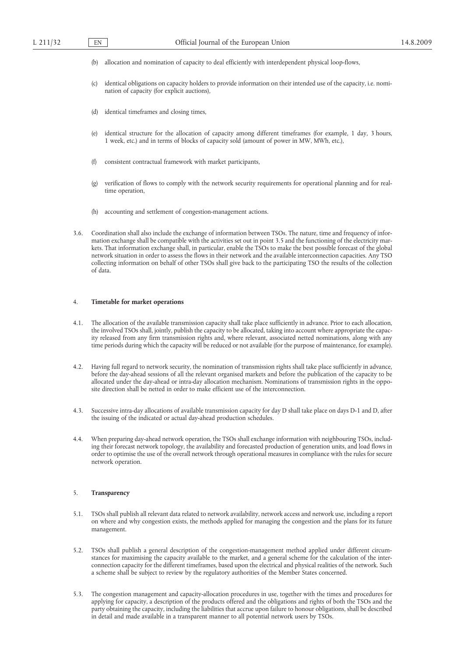- (b) allocation and nomination of capacity to deal efficiently with interdependent physical loop-flows,
- (c) identical obligations on capacity holders to provide information on their intended use of the capacity, i.e. nomination of capacity (for explicit auctions),
- (d) identical timeframes and closing times,
- (e) identical structure for the allocation of capacity among different timeframes (for example, 1 day, 3 hours, 1 week, etc.) and in terms of blocks of capacity sold (amount of power in MW, MWh, etc.),
- (f) consistent contractual framework with market participants,
- (g) verification of flows to comply with the network security requirements for operational planning and for realtime operation,
- (h) accounting and settlement of congestion-management actions.
- 3.6. Coordination shall also include the exchange of information between TSOs. The nature, time and frequency of information exchange shall be compatible with the activities set out in point 3.5 and the functioning of the electricity markets. That information exchange shall, in particular, enable the TSOs to make the best possible forecast of the global network situation in order to assess the flows in their network and the available interconnection capacities. Any TSO collecting information on behalf of other TSOs shall give back to the participating TSO the results of the collection of data.

#### 4. **Timetable for market operations**

- 4.1. The allocation of the available transmission capacity shall take place sufficiently in advance. Prior to each allocation, the involved TSOs shall, jointly, publish the capacity to be allocated, taking into account where appropriate the capacity released from any firm transmission rights and, where relevant, associated netted nominations, along with any time periods during which the capacity will be reduced or not available (for the purpose of maintenance, for example).
- 4.2. Having full regard to network security, the nomination of transmission rights shall take place sufficiently in advance, before the day-ahead sessions of all the relevant organised markets and before the publication of the capacity to be allocated under the day-ahead or intra-day allocation mechanism. Nominations of transmission rights in the opposite direction shall be netted in order to make efficient use of the interconnection.
- 4.3. Successive intra-day allocations of available transmission capacity for day D shall take place on days D-1 and D, after the issuing of the indicated or actual day-ahead production schedules.
- 4.4. When preparing day-ahead network operation, the TSOs shall exchange information with neighbouring TSOs, including their forecast network topology, the availability and forecasted production of generation units, and load flows in order to optimise the use of the overall network through operational measures in compliance with the rules for secure network operation.

#### 5. **Transparency**

- 5.1. TSOs shall publish all relevant data related to network availability, network access and network use, including a report on where and why congestion exists, the methods applied for managing the congestion and the plans for its future management.
- 5.2. TSOs shall publish a general description of the congestion-management method applied under different circumstances for maximising the capacity available to the market, and a general scheme for the calculation of the interconnection capacity for the different timeframes, based upon the electrical and physical realities of the network. Such a scheme shall be subject to review by the regulatory authorities of the Member States concerned.
- 5.3. The congestion management and capacity-allocation procedures in use, together with the times and procedures for applying for capacity, a description of the products offered and the obligations and rights of both the TSOs and the party obtaining the capacity, including the liabilities that accrue upon failure to honour obligations, shall be described in detail and made available in a transparent manner to all potential network users by TSOs.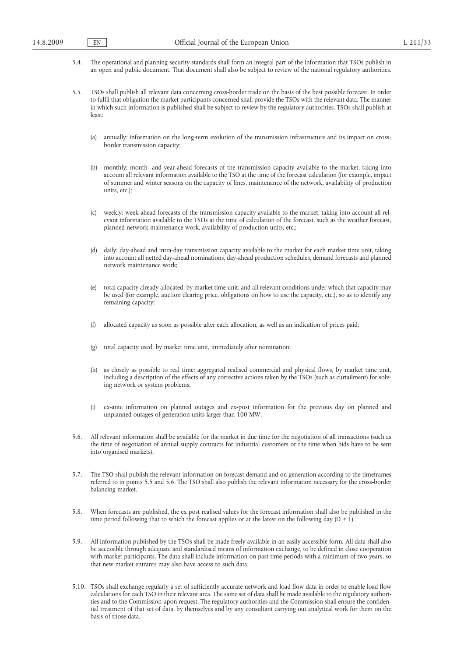- 5.4. The operational and planning security standards shall form an integral part of the information that TSOs publish in an open and public document. That document shall also be subject to review of the national regulatory authorities.
- 5.5. TSOs shall publish all relevant data concerning cross-border trade on the basis of the best possible forecast. In order to fulfil that obligation the market participants concerned shall provide the TSOs with the relevant data. The manner in which such information is published shall be subject to review by the regulatory authorities. TSOs shall publish at least:
	- (a) annually: information on the long-term evolution of the transmission infrastructure and its impact on crossborder transmission capacity;
	- (b) monthly: month- and year-ahead forecasts of the transmission capacity available to the market, taking into account all relevant information available to the TSO at the time of the forecast calculation (for example, impact of summer and winter seasons on the capacity of lines, maintenance of the network, availability of production units, etc.);
	- (c) weekly: week-ahead forecasts of the transmission capacity available to the market, taking into account all relevant information available to the TSOs at the time of calculation of the forecast, such as the weather forecast, planned network maintenance work, availability of production units, etc.;
	- (d) daily: day-ahead and intra-day transmission capacity available to the market for each market time unit, taking into account all netted day-ahead nominations, day-ahead production schedules, demand forecasts and planned network maintenance work;
	- (e) total capacity already allocated, by market time unit, and all relevant conditions under which that capacity may be used (for example, auction clearing price, obligations on how to use the capacity, etc.), so as to identify any remaining capacity;
	- (f) allocated capacity as soon as possible after each allocation, as well as an indication of prices paid;
	- (g) total capacity used, by market time unit, immediately after nomination;
	- (h) as closely as possible to real time: aggregated realised commercial and physical flows, by market time unit, including a description of the effects of any corrective actions taken by the TSOs (such as curtailment) for solving network or system problems;
	- (i) ex-ante information on planned outages and ex-post information for the previous day on planned and unplanned outages of generation units larger than 100 MW.
- 5.6. All relevant information shall be available for the market in due time for the negotiation of all transactions (such as the time of negotiation of annual supply contracts for industrial customers or the time when bids have to be sent into organised markets).
- 5.7. The TSO shall publish the relevant information on forecast demand and on generation according to the timeframes referred to in points 5.5 and 5.6. The TSO shall also publish the relevant information necessary for the cross-border balancing market.
- 5.8. When forecasts are published, the ex post realised values for the forecast information shall also be published in the time period following that to which the forecast applies or at the latest on the following day  $(D + 1)$ .
- 5.9. All information published by the TSOs shall be made freely available in an easily accessible form. All data shall also be accessible through adequate and standardised means of information exchange, to be defined in close cooperation with market participants. The data shall include information on past time periods with a minimum of two years, so that new market entrants may also have access to such data.
- 5.10. TSOs shall exchange regularly a set of sufficiently accurate network and load flow data in order to enable load flow calculations for each TSO in their relevant area. The same set of data shall be made available to the regulatory authorities and to the Commission upon request. The regulatory authorities and the Commission shall ensure the confidential treatment of that set of data, by themselves and by any consultant carrying out analytical work for them on the basis of those data.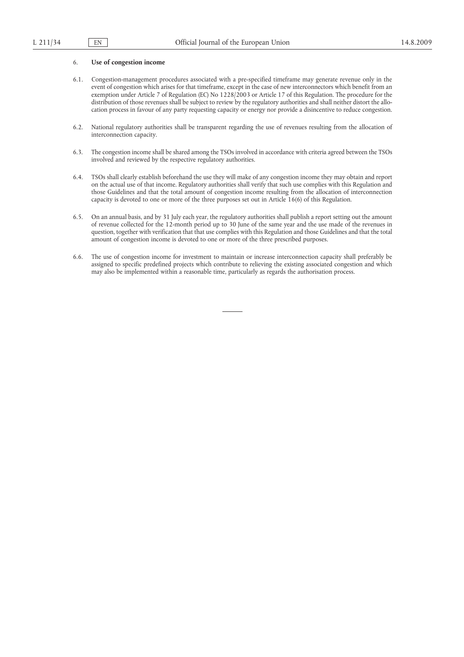#### 6. **Use of congestion income**

- 6.1. Congestion-management procedures associated with a pre-specified timeframe may generate revenue only in the event of congestion which arises for that timeframe, except in the case of new interconnectors which benefit from an exemption under Article 7 of Regulation (EC) No 1228/2003 or Article 17 of this Regulation. The procedure for the distribution of those revenues shall be subject to review by the regulatory authorities and shall neither distort the allocation process in favour of any party requesting capacity or energy nor provide a disincentive to reduce congestion.
- 6.2. National regulatory authorities shall be transparent regarding the use of revenues resulting from the allocation of interconnection capacity.
- 6.3. The congestion income shall be shared among the TSOs involved in accordance with criteria agreed between the TSOs involved and reviewed by the respective regulatory authorities.
- 6.4. TSOs shall clearly establish beforehand the use they will make of any congestion income they may obtain and report on the actual use of that income. Regulatory authorities shall verify that such use complies with this Regulation and those Guidelines and that the total amount of congestion income resulting from the allocation of interconnection capacity is devoted to one or more of the three purposes set out in Article 16(6) of this Regulation.
- 6.5. On an annual basis, and by 31 July each year, the regulatory authorities shall publish a report setting out the amount of revenue collected for the 12-month period up to 30 June of the same year and the use made of the revenues in question, together with verification that that use complies with this Regulation and those Guidelines and that the total amount of congestion income is devoted to one or more of the three prescribed purposes.
- 6.6. The use of congestion income for investment to maintain or increase interconnection capacity shall preferably be assigned to specific predefined projects which contribute to relieving the existing associated congestion and which may also be implemented within a reasonable time, particularly as regards the authorisation process.